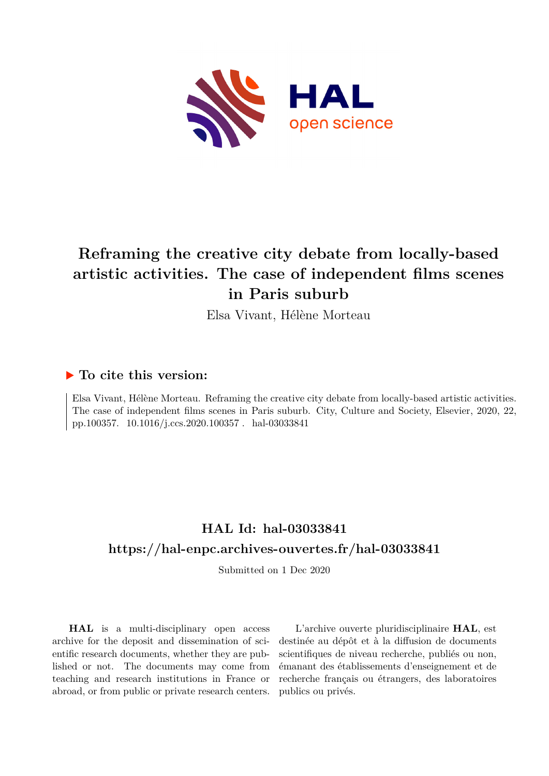

# **Reframing the creative city debate from locally-based artistic activities. The case of independent films scenes in Paris suburb**

Elsa Vivant, Hélène Morteau

### **To cite this version:**

Elsa Vivant, Hélène Morteau. Reframing the creative city debate from locally-based artistic activities. The case of independent films scenes in Paris suburb. City, Culture and Society, Elsevier, 2020, 22, pp.100357. 10.1016/j.ccs.2020.100357. hal-03033841

### **HAL Id: hal-03033841 <https://hal-enpc.archives-ouvertes.fr/hal-03033841>**

Submitted on 1 Dec 2020

**HAL** is a multi-disciplinary open access archive for the deposit and dissemination of scientific research documents, whether they are published or not. The documents may come from teaching and research institutions in France or abroad, or from public or private research centers.

L'archive ouverte pluridisciplinaire **HAL**, est destinée au dépôt et à la diffusion de documents scientifiques de niveau recherche, publiés ou non, émanant des établissements d'enseignement et de recherche français ou étrangers, des laboratoires publics ou privés.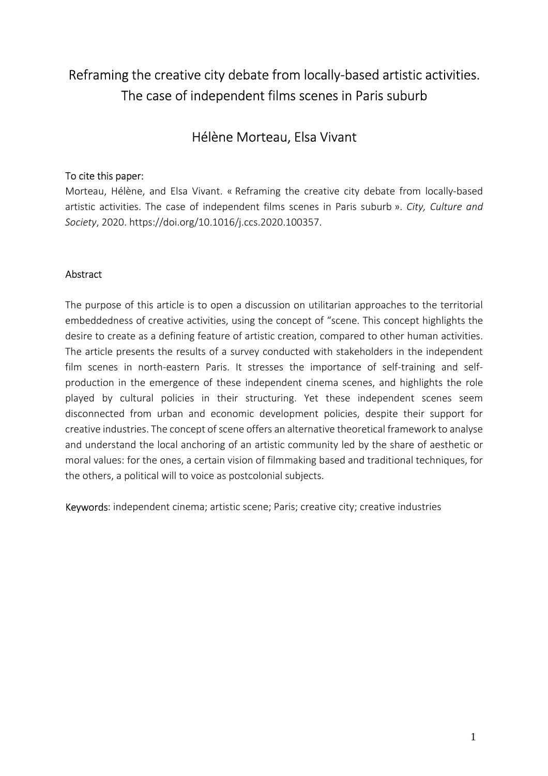## Reframing the creative city debate from locally-based artistic activities. The case of independent films scenes in Paris suburb

### Hélène Morteau, Elsa Vivant

### To cite this paper:

Morteau, Hélène, and Elsa Vivant. « Reframing the creative city debate from locally-based artistic activities. The case of independent films scenes in Paris suburb ». *City, Culture and Society*, 2020. https://doi.org/10.1016/j.ccs.2020.100357.

### Abstract

The purpose of this article is to open a discussion on utilitarian approaches to the territorial embeddedness of creative activities, using the concept of "scene. This concept highlights the desire to create as a defining feature of artistic creation, compared to other human activities. The article presents the results of a survey conducted with stakeholders in the independent film scenes in north-eastern Paris. It stresses the importance of self-training and selfproduction in the emergence of these independent cinema scenes, and highlights the role played by cultural policies in their structuring. Yet these independent scenes seem disconnected from urban and economic development policies, despite their support for creative industries. The concept of scene offers an alternative theoretical framework to analyse and understand the local anchoring of an artistic community led by the share of aesthetic or moral values: for the ones, a certain vision of filmmaking based and traditional techniques, for the others, a political will to voice as postcolonial subjects.

Keywords: independent cinema; artistic scene; Paris; creative city; creative industries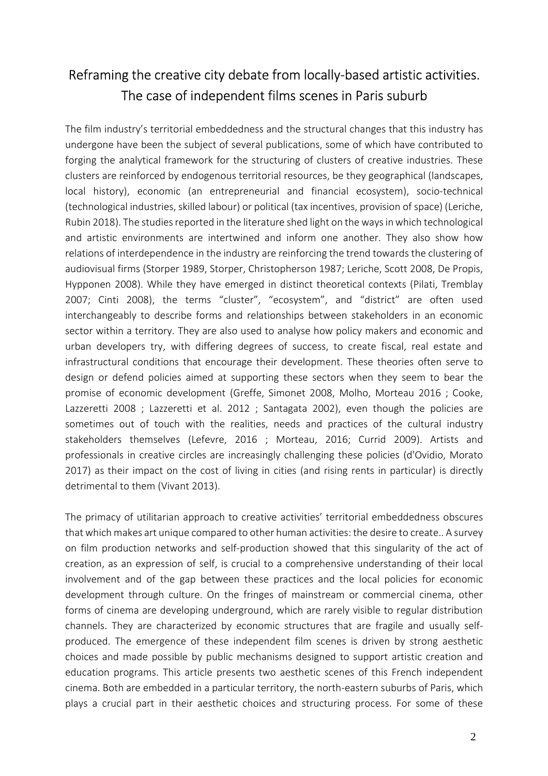## Reframing the creative city debate from locally-based artistic activities. The case of independent films scenes in Paris suburb

The film industry's territorial embeddedness and the structural changes that this industry has undergone have been the subject of several publications, some of which have contributed to forging the analytical framework for the structuring of clusters of creative industries. These clusters are reinforced by endogenous territorial resources, be they geographical (landscapes, local history), economic (an entrepreneurial and financial ecosystem), socio-technical (technological industries, skilled labour) or political (tax incentives, provision of space) (Leriche, Rubin 2018). The studies reported in the literature shed light on the ways in which technological and artistic environments are intertwined and inform one another. They also show how relations of interdependence in the industry are reinforcing the trend towards the clustering of audiovisual firms (Storper 1989, Storper, Christopherson 1987; Leriche, Scott 2008, De Propis, Hypponen 2008). While they have emerged in distinct theoretical contexts (Pilati, Tremblay 2007; Cinti 2008), the terms "cluster", "ecosystem", and "district" are often used interchangeably to describe forms and relationships between stakeholders in an economic sector within a territory. They are also used to analyse how policy makers and economic and urban developers try, with differing degrees of success, to create fiscal, real estate and infrastructural conditions that encourage their development. These theories often serve to design or defend policies aimed at supporting these sectors when they seem to bear the promise of economic development (Greffe, Simonet 2008, Molho, Morteau 2016 ; Cooke, Lazzeretti 2008 ; Lazzeretti et al. 2012 ; Santagata 2002), even though the policies are sometimes out of touch with the realities, needs and practices of the cultural industry stakeholders themselves (Lefevre, 2016 ; Morteau, 2016; Currid 2009). Artists and professionals in creative circles are increasingly challenging these policies (d'Ovidio, Morato 2017) as their impact on the cost of living in cities (and rising rents in particular) is directly detrimental to them (Vivant 2013).

The primacy of utilitarian approach to creative activities' territorial embeddedness obscures that which makes art unique compared to other human activities: the desire to create.. A survey on film production networks and self-production showed that this singularity of the act of creation, as an expression of self, is crucial to a comprehensive understanding of their local involvement and of the gap between these practices and the local policies for economic development through culture. On the fringes of mainstream or commercial cinema, other forms of cinema are developing underground, which are rarely visible to regular distribution channels. They are characterized by economic structures that are fragile and usually selfproduced. The emergence of these independent film scenes is driven by strong aesthetic choices and made possible by public mechanisms designed to support artistic creation and education programs. This article presents two aesthetic scenes of this French independent cinema. Both are embedded in a particular territory, the north-eastern suburbs of Paris, which plays a crucial part in their aesthetic choices and structuring process. For some of these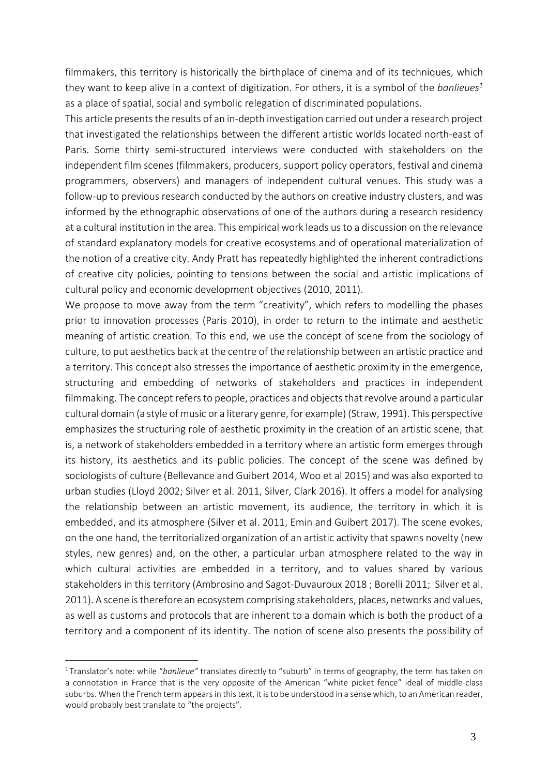filmmakers, this territory is historically the birthplace of cinema and of its techniques, which they want to keep alive in a context of digitization. For others, it is a symbol of the *banlieues<sup>1</sup>* as a place of spatial, social and symbolic relegation of discriminated populations.

This article presents the results of an in-depth investigation carried out under a research project that investigated the relationships between the different artistic worlds located north-east of Paris. Some thirty semi-structured interviews were conducted with stakeholders on the independent film scenes (filmmakers, producers, support policy operators, festival and cinema programmers, observers) and managers of independent cultural venues. This study was a follow-up to previous research conducted by the authors on creative industry clusters, and was informed by the ethnographic observations of one of the authors during a research residency at a cultural institution in the area. This empirical work leads us to a discussion on the relevance of standard explanatory models for creative ecosystems and of operational materialization of the notion of a creative city. Andy Pratt has repeatedly highlighted the inherent contradictions of creative city policies, pointing to tensions between the social and artistic implications of cultural policy and economic development objectives (2010, 2011).

We propose to move away from the term "creativity", which refers to modelling the phases prior to innovation processes (Paris 2010), in order to return to the intimate and aesthetic meaning of artistic creation. To this end, we use the concept of scene from the sociology of culture, to put aesthetics back at the centre of the relationship between an artistic practice and a territory. This concept also stresses the importance of aesthetic proximity in the emergence, structuring and embedding of networks of stakeholders and practices in independent filmmaking. The concept refers to people, practices and objects that revolve around a particular cultural domain (a style of music or a literary genre, for example) (Straw, 1991). This perspective emphasizes the structuring role of aesthetic proximity in the creation of an artistic scene, that is, a network of stakeholders embedded in a territory where an artistic form emerges through its history, its aesthetics and its public policies. The concept of the scene was defined by sociologists of culture (Bellevance and Guibert 2014, Woo et al 2015) and was also exported to urban studies (Lloyd 2002; Silver et al. 2011, Silver, Clark 2016). It offers a model for analysing the relationship between an artistic movement, its audience, the territory in which it is embedded, and its atmosphere (Silver et al. 2011, Emin and Guibert 2017). The scene evokes, on the one hand, the territorialized organization of an artistic activity that spawns novelty (new styles, new genres) and, on the other, a particular urban atmosphere related to the way in which cultural activities are embedded in a territory, and to values shared by various stakeholders in this territory (Ambrosino and Sagot-Duvauroux 2018 ; Borelli 2011; Silver et al. 2011). A scene is therefore an ecosystem comprising stakeholders, places, networks and values, as well as customs and protocols that are inherent to a domain which is both the product of a territory and a component of its identity. The notion of scene also presents the possibility of

<sup>1</sup>Translator's note: while "*banlieue"* translates directly to "suburb" in terms of geography, the term has taken on a connotation in France that is the very opposite of the American "white picket fence" ideal of middle-class suburbs. When the French term appears in this text, it is to be understood in a sense which, to an American reader, would probably best translate to "the projects".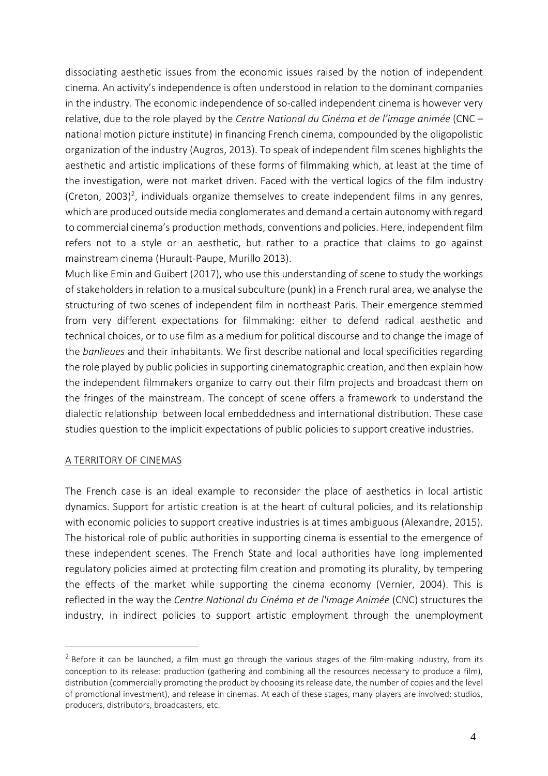dissociating aesthetic issues from the economic issues raised by the notion of independent cinema. An activity's independence is often understood in relation to the dominant companies in the industry. The economic independence of so-called independent cinema is however very relative, due to the role played by the *Centre National du Cinéma et de l'image animée* (CNC – national motion picture institute) in financing French cinema, compounded by the oligopolistic organization of the industry (Augros, 2013). To speak of independent film scenes highlights the aesthetic and artistic implications of these forms of filmmaking which, at least at the time of the investigation, were not market driven. Faced with the vertical logics of the film industry (Creton, 2003)<sup>2</sup>, individuals organize themselves to create independent films in any genres, which are produced outside media conglomerates and demand a certain autonomy with regard to commercial cinema's production methods, conventions and policies. Here, independent film refers not to a style or an aesthetic, but rather to a practice that claims to go against mainstream cinema (Hurault-Paupe, Murillo 2013).

Much like Emin and Guibert (2017), who use this understanding of scene to study the workings of stakeholders in relation to a musical subculture (punk) in a French rural area, we analyse the structuring of two scenes of independent film in northeast Paris. Their emergence stemmed from very different expectations for filmmaking: either to defend radical aesthetic and technical choices, or to use film as a medium for political discourse and to change the image of the *banlieues* and their inhabitants. We first describe national and local specificities regarding the role played by public policies in supporting cinematographic creation, and then explain how the independent filmmakers organize to carry out their film projects and broadcast them on the fringes of the mainstream. The concept of scene offers a framework to understand the dialectic relationship between local embeddedness and international distribution. These case studies question to the implicit expectations of public policies to support creative industries.

### A TERRITORY OF CINEMAS

 $\overline{a}$ 

The French case is an ideal example to reconsider the place of aesthetics in local artistic dynamics. Support for artistic creation is at the heart of cultural policies, and its relationship with economic policies to support creative industries is at times ambiguous (Alexandre, 2015). The historical role of public authorities in supporting cinema is essential to the emergence of these independent scenes. The French State and local authorities have long implemented regulatory policies aimed at protecting film creation and promoting its plurality, by tempering the effects of the market while supporting the cinema economy (Vernier, 2004). This is reflected in the way the *Centre National du Cinéma et de l'Image Animée* (CNC) structures the industry, in indirect policies to support artistic employment through the unemployment

 $2$  Before it can be launched, a film must go through the various stages of the film-making industry, from its conception to its release: production (gathering and combining all the resources necessary to produce a film), distribution (commercially promoting the product by choosing its release date, the number of copies and the level of promotional investment), and release in cinemas. At each of these stages, many players are involved: studios, producers, distributors, broadcasters, etc.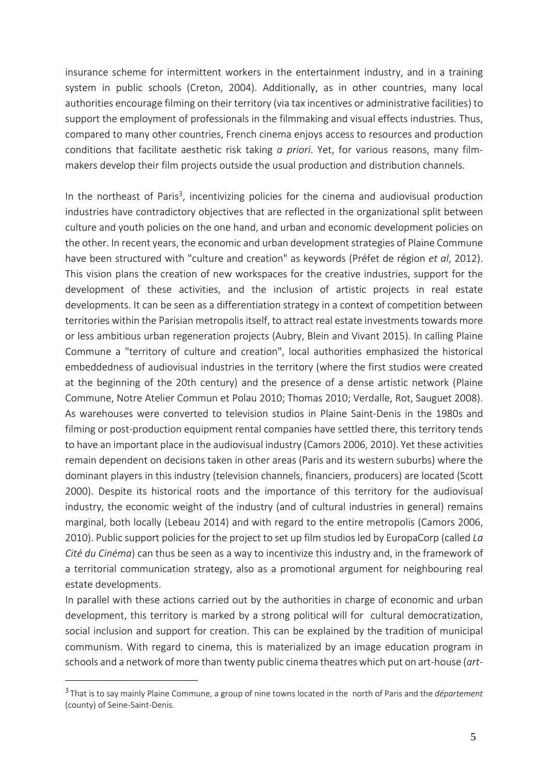insurance scheme for intermittent workers in the entertainment industry, and in a training system in public schools (Creton, 2004). Additionally, as in other countries, many local authorities encourage filming on their territory (via tax incentives or administrative facilities) to support the employment of professionals in the filmmaking and visual effects industries. Thus, compared to many other countries, French cinema enjoys access to resources and production conditions that facilitate aesthetic risk taking *a priori*. Yet, for various reasons, many filmmakers develop their film projects outside the usual production and distribution channels.

In the northeast of Paris<sup>3</sup>, incentivizing policies for the cinema and audiovisual production industries have contradictory objectives that are reflected in the organizational split between culture and youth policies on the one hand, and urban and economic development policies on the other. In recent years, the economic and urban development strategies of Plaine Commune have been structured with "culture and creation" as keywords (Préfet de région *et al*, 2012). This vision plans the creation of new workspaces for the creative industries, support for the development of these activities, and the inclusion of artistic projects in real estate developments. It can be seen as a differentiation strategy in a context of competition between territories within the Parisian metropolis itself, to attract real estate investments towards more or less ambitious urban regeneration projects (Aubry, Blein and Vivant 2015). In calling Plaine Commune a "territory of culture and creation", local authorities emphasized the historical embeddedness of audiovisual industries in the territory (where the first studios were created at the beginning of the 20th century) and the presence of a dense artistic network (Plaine Commune, Notre Atelier Commun et Polau 2010; Thomas 2010; Verdalle, Rot, Sauguet 2008). As warehouses were converted to television studios in Plaine Saint-Denis in the 1980s and filming or post-production equipment rental companies have settled there, this territory tends to have an important place in the audiovisual industry (Camors 2006, 2010). Yet these activities remain dependent on decisions taken in other areas (Paris and its western suburbs) where the dominant players in this industry (television channels, financiers, producers) are located (Scott 2000). Despite its historical roots and the importance of this territory for the audiovisual industry, the economic weight of the industry (and of cultural industries in general) remains marginal, both locally (Lebeau 2014) and with regard to the entire metropolis (Camors 2006, 2010). Public support policies for the project to set up film studios led by EuropaCorp (called *La Cité du Cinéma*) can thus be seen as a way to incentivize this industry and, in the framework of a territorial communication strategy, also as a promotional argument for neighbouring real estate developments.

In parallel with these actions carried out by the authorities in charge of economic and urban development, this territory is marked by a strong political will for cultural democratization, social inclusion and support for creation. This can be explained by the tradition of municipal communism. With regard to cinema, this is materialized by an image education program in schools and a network of more than twenty public cinema theatres which put on art-house (*art-*

<sup>3</sup> That is to say mainly Plaine Commune, a group of nine towns located in the north of Paris and the *département*  (county) of Seine-Saint-Denis.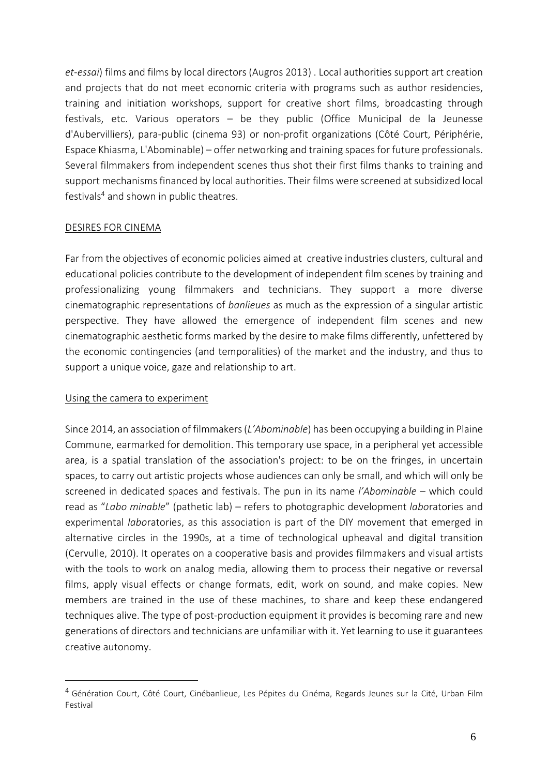*et-essai*) films and films by local directors (Augros 2013) . Local authorities support art creation and projects that do not meet economic criteria with programs such as author residencies, training and initiation workshops, support for creative short films, broadcasting through festivals, etc. Various operators – be they public (Office Municipal de la Jeunesse d'Aubervilliers), para-public (cinema 93) or non-profit organizations (Côté Court, Périphérie, Espace Khiasma, L'Abominable) – offer networking and training spaces for future professionals. Several filmmakers from independent scenes thus shot their first films thanks to training and support mechanisms financed by local authorities. Their films were screened at subsidized local festivals<sup>4</sup> and shown in public theatres.

#### DESIRES FOR CINEMA

Far from the objectives of economic policies aimed at creative industries clusters, cultural and educational policies contribute to the development of independent film scenes by training and professionalizing young filmmakers and technicians. They support a more diverse cinematographic representations of *banlieues* as much as the expression of a singular artistic perspective. They have allowed the emergence of independent film scenes and new cinematographic aesthetic forms marked by the desire to make films differently, unfettered by the economic contingencies (and temporalities) of the market and the industry, and thus to support a unique voice, gaze and relationship to art.

### Using the camera to experiment

 $\overline{a}$ 

Since 2014, an association of filmmakers (*L'Abominable*) has been occupying a building in Plaine Commune, earmarked for demolition. This temporary use space, in a peripheral yet accessible area, is a spatial translation of the association's project: to be on the fringes, in uncertain spaces, to carry out artistic projects whose audiences can only be small, and which will only be screened in dedicated spaces and festivals. The pun in its name *l'Abominable* – which could read as "*Labo minable*" (pathetic lab) – refers to photographic development *labo*ratories and experimental *labo*ratories, as this association is part of the DIY movement that emerged in alternative circles in the 1990s, at a time of technological upheaval and digital transition (Cervulle, 2010). It operates on a cooperative basis and provides filmmakers and visual artists with the tools to work on analog media, allowing them to process their negative or reversal films, apply visual effects or change formats, edit, work on sound, and make copies. New members are trained in the use of these machines, to share and keep these endangered techniques alive. The type of post-production equipment it provides is becoming rare and new generations of directors and technicians are unfamiliar with it. Yet learning to use it guarantees creative autonomy.

<sup>&</sup>lt;sup>4</sup> Génération Court, Côté Court, Cinébanlieue, Les Pépites du Cinéma, Regards Jeunes sur la Cité, Urban Film Festival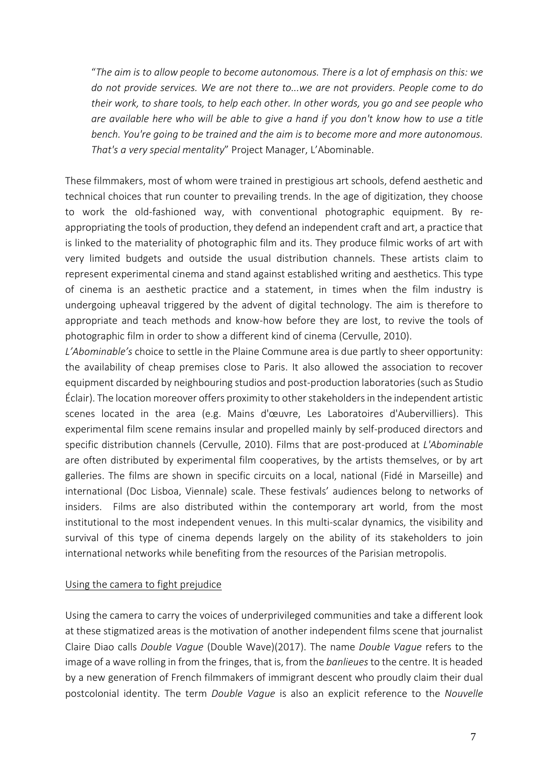"*The aim is to allow people to become autonomous. There is a lot of emphasis on this: we do not provide services. We are not there to...we are not providers. People come to do their work, to share tools, to help each other. In other words, you go and see people who are available here who will be able to give a hand if you don't know how to use a title bench. You're going to be trained and the aim is to become more and more autonomous. That's a very special mentality*" Project Manager, L'Abominable.

These filmmakers, most of whom were trained in prestigious art schools, defend aesthetic and technical choices that run counter to prevailing trends. In the age of digitization, they choose to work the old-fashioned way, with conventional photographic equipment. By reappropriating the tools of production, they defend an independent craft and art, a practice that is linked to the materiality of photographic film and its. They produce filmic works of art with very limited budgets and outside the usual distribution channels. These artists claim to represent experimental cinema and stand against established writing and aesthetics. This type of cinema is an aesthetic practice and a statement, in times when the film industry is undergoing upheaval triggered by the advent of digital technology. The aim is therefore to appropriate and teach methods and know-how before they are lost, to revive the tools of photographic film in order to show a different kind of cinema (Cervulle, 2010).

*L'Abominable's* choice to settle in the Plaine Commune area is due partly to sheer opportunity: the availability of cheap premises close to Paris. It also allowed the association to recover equipment discarded by neighbouring studios and post-production laboratories (such as Studio Éclair). The location moreover offers proximity to other stakeholders in the independent artistic scenes located in the area (e.g. Mains d'œuvre, Les Laboratoires d'Aubervilliers). This experimental film scene remains insular and propelled mainly by self-produced directors and specific distribution channels (Cervulle, 2010). Films that are post-produced at *L'Abominable* are often distributed by experimental film cooperatives, by the artists themselves, or by art galleries. The films are shown in specific circuits on a local, national (Fidé in Marseille) and international (Doc Lisboa, Viennale) scale. These festivals' audiences belong to networks of insiders. Films are also distributed within the contemporary art world, from the most institutional to the most independent venues. In this multi-scalar dynamics, the visibility and survival of this type of cinema depends largely on the ability of its stakeholders to join international networks while benefiting from the resources of the Parisian metropolis.

### Using the camera to fight prejudice

Using the camera to carry the voices of underprivileged communities and take a different look at these stigmatized areas is the motivation of another independent films scene that journalist Claire Diao calls *Double Vague* (Double Wave)(2017). The name *Double Vague* refers to the image of a wave rolling in from the fringes, that is, from the *banlieues* to the centre. It is headed by a new generation of French filmmakers of immigrant descent who proudly claim their dual postcolonial identity. The term *Double Vague* is also an explicit reference to the *Nouvelle*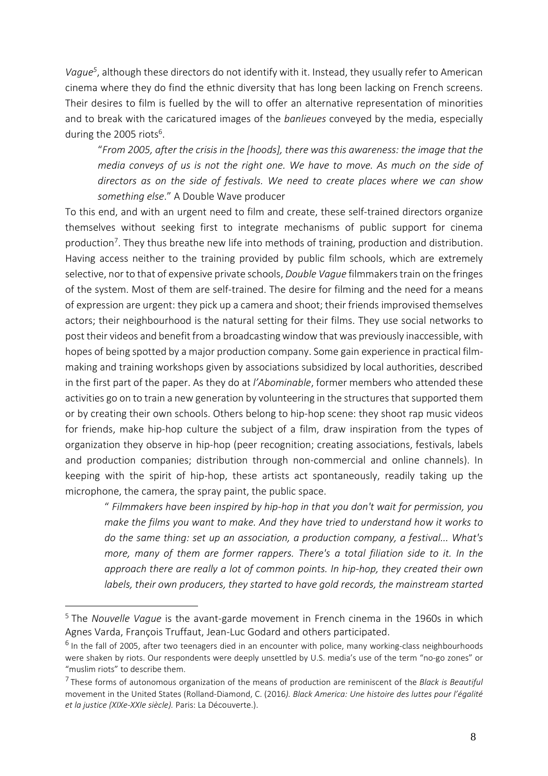*Vague<sup>5</sup>* , although these directors do not identify with it. Instead, they usually refer to American cinema where they do find the ethnic diversity that has long been lacking on French screens. Their desires to film is fuelled by the will to offer an alternative representation of minorities and to break with the caricatured images of the *banlieues* conveyed by the media, especially during the 2005 riots<sup>6</sup>.

"*From 2005, after the crisis in the [hoods], there was this awareness: the image that the media conveys of us is not the right one. We have to move. As much on the side of directors as on the side of festivals. We need to create places where we can show something else*." A Double Wave producer

To this end, and with an urgent need to film and create, these self-trained directors organize themselves without seeking first to integrate mechanisms of public support for cinema production<sup>7</sup>. They thus breathe new life into methods of training, production and distribution. Having access neither to the training provided by public film schools, which are extremely selective, nor to that of expensive private schools, *Double Vague* filmmakers train on the fringes of the system. Most of them are self-trained. The desire for filming and the need for a means of expression are urgent: they pick up a camera and shoot; their friends improvised themselves actors; their neighbourhood is the natural setting for their films. They use social networks to post their videos and benefit from a broadcasting window that was previously inaccessible, with hopes of being spotted by a major production company. Some gain experience in practical filmmaking and training workshops given by associations subsidized by local authorities, described in the first part of the paper. As they do at *l'Abominable*, former members who attended these activities go on to train a new generation by volunteering in the structures that supported them or by creating their own schools. Others belong to hip-hop scene: they shoot rap music videos for friends, make hip-hop culture the subject of a film, draw inspiration from the types of organization they observe in hip-hop (peer recognition; creating associations, festivals, labels and production companies; distribution through non-commercial and online channels). In keeping with the spirit of hip-hop, these artists act spontaneously, readily taking up the microphone, the camera, the spray paint, the public space.

" *Filmmakers have been inspired by hip-hop in that you don't wait for permission, you make the films you want to make. And they have tried to understand how it works to do the same thing: set up an association, a production company, a festival... What's more, many of them are former rappers. There's a total filiation side to it. In the approach there are really a lot of common points. In hip-hop, they created their own labels, their own producers, they started to have gold records, the mainstream started* 

<sup>5</sup>The *Nouvelle Vague* is the avant-garde movement in French cinema in the 1960s in which Agnes Varda, François Truffaut, Jean-Luc Godard and others participated.

 $<sup>6</sup>$  In the fall of 2005, after two teenagers died in an encounter with police, many working-class neighbourhoods</sup> were shaken by riots. Our respondents were deeply unsettled by U.S. media's use of the term "no-go zones" or "muslim riots" to describe them.

<sup>7</sup> These forms of autonomous organization of the means of production are reminiscent of the *Black is Beautiful*  movement in the United States (Rolland-Diamond, C. (2016*). Black America: Une histoire des luttes pour l'égalité et la justice (XIXe-XXIe siècle).* Paris: La Découverte.).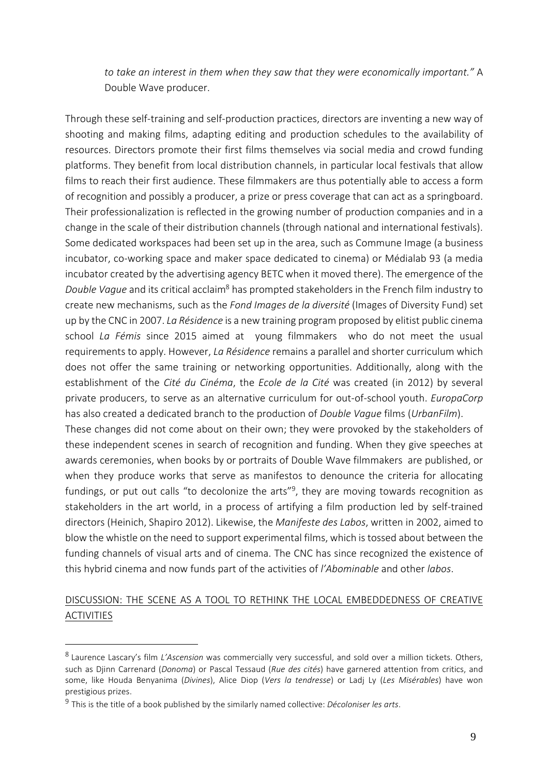*to take an interest in them when they saw that they were economically important."* A Double Wave producer.

Through these self-training and self-production practices, directors are inventing a new way of shooting and making films, adapting editing and production schedules to the availability of resources. Directors promote their first films themselves via social media and crowd funding platforms. They benefit from local distribution channels, in particular local festivals that allow films to reach their first audience. These filmmakers are thus potentially able to access a form of recognition and possibly a producer, a prize or press coverage that can act as a springboard. Their professionalization is reflected in the growing number of production companies and in a change in the scale of their distribution channels (through national and international festivals). Some dedicated workspaces had been set up in the area, such as Commune Image (a business incubator, co-working space and maker space dedicated to cinema) or Médialab 93 (a media incubator created by the advertising agency BETC when it moved there). The emergence of the Double Vague and its critical acclaim<sup>8</sup> has prompted stakeholders in the French film industry to create new mechanisms, such as the *Fond Images de la diversité* (Images of Diversity Fund) set up by the CNC in 2007. *La Résidence* is a new training program proposed by elitist public cinema school *La Fémis* since 2015 aimed at young filmmakers who do not meet the usual requirements to apply. However, *La Résidence* remains a parallel and shorter curriculum which does not offer the same training or networking opportunities. Additionally, along with the establishment of the *Cité du Cinéma*, the *Ecole de la Cité* was created (in 2012) by several private producers, to serve as an alternative curriculum for out-of-school youth. *EuropaCorp* has also created a dedicated branch to the production of *Double Vague* films (*UrbanFilm*). These changes did not come about on their own; they were provoked by the stakeholders of

these independent scenes in search of recognition and funding. When they give speeches at awards ceremonies, when books by or portraits of Double Wave filmmakers are published, or when they produce works that serve as manifestos to denounce the criteria for allocating fundings, or put out calls "to decolonize the arts"<sup>9</sup>, they are moving towards recognition as stakeholders in the art world, in a process of artifying a film production led by self-trained directors (Heinich, Shapiro 2012). Likewise, the *Manifeste des Labos*, written in 2002, aimed to blow the whistle on the need to support experimental films, which is tossed about between the funding channels of visual arts and of cinema. The CNC has since recognized the existence of this hybrid cinema and now funds part of the activities of *l'Abominable* and other *labos*.

### DISCUSSION: THE SCENE AS A TOOL TO RETHINK THE LOCAL EMBEDDEDNESS OF CREATIVE ACTIVITIES

<sup>8</sup>Laurence Lascary's film *L'Ascension* was commercially very successful, and sold over a million tickets. Others, such as Djinn Carrenard (*Donoma*) or Pascal Tessaud (*Rue des cités*) have garnered attention from critics, and some, like Houda Benyanima (*Divines*), Alice Diop (*Vers la tendresse*) or Ladj Ly (*Les Misérables*) have won prestigious prizes.

<sup>9</sup> This is the title of a book published by the similarly named collective: *Décoloniser les arts*.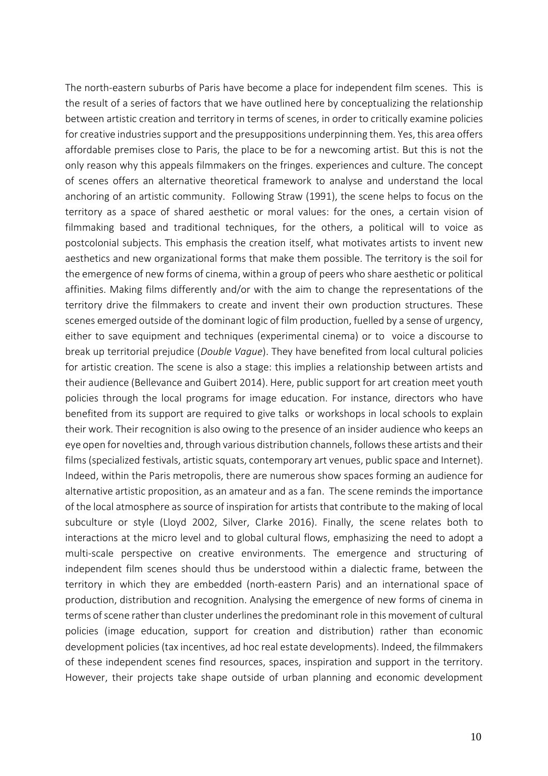The north-eastern suburbs of Paris have become a place for independent film scenes. This is the result of a series of factors that we have outlined here by conceptualizing the relationship between artistic creation and territory in terms of scenes, in order to critically examine policies for creative industries support and the presuppositions underpinning them. Yes, this area offers affordable premises close to Paris, the place to be for a newcoming artist. But this is not the only reason why this appeals filmmakers on the fringes. experiences and culture. The concept of scenes offers an alternative theoretical framework to analyse and understand the local anchoring of an artistic community. Following Straw (1991), the scene helps to focus on the territory as a space of shared aesthetic or moral values: for the ones, a certain vision of filmmaking based and traditional techniques, for the others, a political will to voice as postcolonial subjects. This emphasis the creation itself, what motivates artists to invent new aesthetics and new organizational forms that make them possible. The territory is the soil for the emergence of new forms of cinema, within a group of peers who share aesthetic or political affinities. Making films differently and/or with the aim to change the representations of the territory drive the filmmakers to create and invent their own production structures. These scenes emerged outside of the dominant logic of film production, fuelled by a sense of urgency, either to save equipment and techniques (experimental cinema) or to voice a discourse to break up territorial prejudice (*Double Vague*). They have benefited from local cultural policies for artistic creation. The scene is also a stage: this implies a relationship between artists and their audience (Bellevance and Guibert 2014). Here, public support for art creation meet youth policies through the local programs for image education. For instance, directors who have benefited from its support are required to give talks or workshops in local schools to explain their work. Their recognition is also owing to the presence of an insider audience who keeps an eye open for novelties and, through various distribution channels, follows these artists and their films (specialized festivals, artistic squats, contemporary art venues, public space and Internet). Indeed, within the Paris metropolis, there are numerous show spaces forming an audience for alternative artistic proposition, as an amateur and as a fan. The scene reminds the importance of the local atmosphere as source of inspiration for artists that contribute to the making of local subculture or style (Lloyd 2002, Silver, Clarke 2016). Finally, the scene relates both to interactions at the micro level and to global cultural flows, emphasizing the need to adopt a multi-scale perspective on creative environments. The emergence and structuring of independent film scenes should thus be understood within a dialectic frame, between the territory in which they are embedded (north-eastern Paris) and an international space of production, distribution and recognition. Analysing the emergence of new forms of cinema in terms of scene rather than cluster underlines the predominant role in this movement of cultural policies (image education, support for creation and distribution) rather than economic development policies (tax incentives, ad hoc real estate developments). Indeed, the filmmakers of these independent scenes find resources, spaces, inspiration and support in the territory. However, their projects take shape outside of urban planning and economic development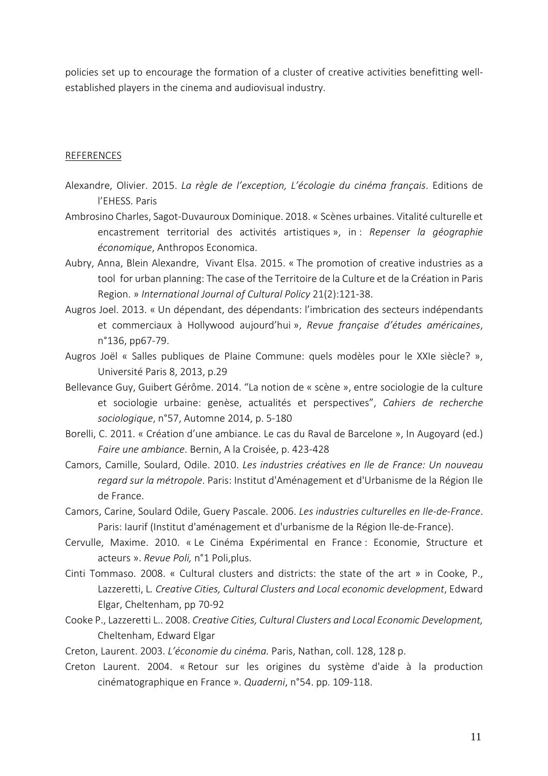policies set up to encourage the formation of a cluster of creative activities benefitting wellestablished players in the cinema and audiovisual industry.

#### REFERENCES

- Alexandre, Olivier. 2015. *La règle de l'exception, L'écologie du cinéma français*. Editions de l'EHESS. Paris
- Ambrosino Charles, Sagot-Duvauroux Dominique. 2018. « Scènes urbaines. Vitalité culturelle et encastrement territorial des activités artistiques », in : *Repenser la géographie économique*, Anthropos Economica.
- Aubry, Anna, Blein Alexandre, Vivant Elsa. 2015. « The promotion of creative industries as a tool for urban planning: The case of the Territoire de la Culture et de la Création in Paris Region. » *International Journal of Cultural Policy* 21(2):121-38.
- Augros Joel. 2013. « Un dépendant, des dépendants: l'imbrication des secteurs indépendants et commerciaux à Hollywood aujourd'hui », *Revue française d'études américaines*, n°136, pp67-79.
- Augros Joël « Salles publiques de Plaine Commune: quels modèles pour le XXIe siècle? », Université Paris 8, 2013, p.29
- Bellevance Guy, Guibert Gérôme. 2014. "La notion de « scène », entre sociologie de la culture et sociologie urbaine: genèse, actualités et perspectives", *Cahiers de recherche sociologique*, n°57, Automne 2014, p. 5-180
- Borelli, C. 2011. « Création d'une ambiance. Le cas du Raval de Barcelone », In Augoyard (ed.) *Faire une ambiance*. Bernin, A la Croisée, p. 423-428
- Camors, Camille, Soulard, Odile. 2010. *Les industries créatives en Ile de France: Un nouveau regard sur la métropole*. Paris: Institut d'Aménagement et d'Urbanisme de la Région Ile de France.
- Camors, Carine, Soulard Odile, Guery Pascale. 2006. *Les industries culturelles en Ile-de-France*. Paris: Iaurif (Institut d'aménagement et d'urbanisme de la Région Ile-de-France).
- Cervulle, Maxime. 2010. « Le Cinéma Expérimental en France : Economie, Structure et acteurs ». *Revue Poli,* n°1 Poli,plus.
- Cinti Tommaso. 2008. « Cultural clusters and districts: the state of the art » in Cooke, P., Lazzeretti, L*. Creative Cities, Cultural Clusters and Local economic development*, Edward Elgar, Cheltenham, pp 70-92
- Cooke P., Lazzeretti L.. 2008. *Creative Cities, Cultural Clusters and Local Economic Development,* Cheltenham, Edward Elgar
- Creton, Laurent. 2003. *L'économie du cinéma.* Paris, Nathan, coll. 128, 128 p.
- Creton Laurent. 2004. « Retour sur les origines du système d'aide à la production cinématographique en France ». *Quaderni*, n°54. pp. 109-118.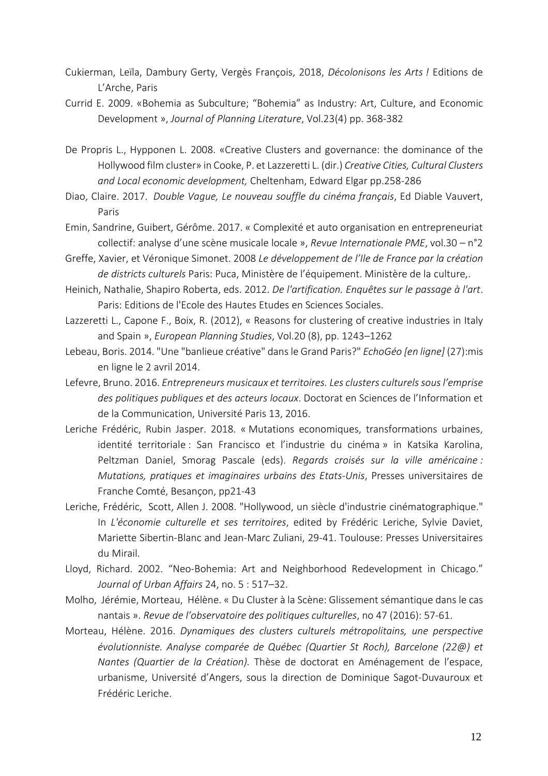- Cukierman, Leïla, Dambury Gerty, Vergès François, 2018, *Décolonisons les Arts !* Editions de L'Arche, Paris
- Currid E. 2009. «Bohemia as Subculture; "Bohemia" as Industry: Art, Culture, and Economic Development », *Journal of Planning Literature*, Vol.23(4) pp. 368-382
- De Propris L., Hypponen L. 2008. «Creative Clusters and governance: the dominance of the Hollywood film cluster» in Cooke, P. et Lazzeretti L. (dir.) *Creative Cities, Cultural Clusters and Local economic development,* Cheltenham, Edward Elgar pp.258-286
- Diao, Claire. 2017. *Double Vague, Le nouveau souffle du cinéma français*, Ed Diable Vauvert, Paris
- Emin, Sandrine, Guibert, Gérôme. 2017. « Complexité et auto organisation en entrepreneuriat collectif: analyse d'une scène musicale locale », *Revue Internationale PME*, vol.30 – n°2
- Greffe, Xavier, et Véronique Simonet. 2008 *Le développement de l'Ile de France par la création de districts culturels* Paris: Puca, Ministère de l'équipement. Ministère de la culture,.
- Heinich, Nathalie, Shapiro Roberta, eds. 2012. *De l'artification. Enquêtes sur le passage à l'art*. Paris: Editions de l'Ecole des Hautes Etudes en Sciences Sociales.
- Lazzeretti L., Capone F., Boix, R. (2012), « Reasons for clustering of creative industries in Italy and Spain », *European Planning Studies*, Vol.20 (8), pp. 1243–1262
- Lebeau, Boris. 2014. "Une "banlieue créative" dans le Grand Paris?" *EchoGéo [en ligne]* (27):mis en ligne le 2 avril 2014.
- Lefevre, Bruno. 2016. *Entrepreneurs musicaux et territoires. Les clusters culturels sous l'emprise des politiques publiques et des acteurs locaux*. Doctorat en Sciences de l'Information et de la Communication, Université Paris 13, 2016.
- Leriche Frédéric, Rubin Jasper. 2018. « Mutations economiques, transformations urbaines, identité territoriale : San Francisco et l'industrie du cinéma » in Katsika Karolina, Peltzman Daniel, Smorag Pascale (eds). *Regards croisés sur la ville américaine : Mutations, pratiques et imaginaires urbains des Etats-Unis*, Presses universitaires de Franche Comté, Besançon, pp21-43
- Leriche, Frédéric, Scott, Allen J. 2008. "Hollywood, un siècle d'industrie cinématographique." In *L'économie culturelle et ses territoires*, edited by Frédéric Leriche, Sylvie Daviet, Mariette Sibertin-Blanc and Jean-Marc Zuliani, 29-41. Toulouse: Presses Universitaires du Mirail.
- Lloyd, Richard. 2002. "Neo-Bohemia: Art and Neighborhood Redevelopment in Chicago." *Journal of Urban Affairs* 24, no. 5 : 517–32.
- Molho, Jérémie, Morteau, Hélène. « Du Cluster à la Scène: Glissement sémantique dans le cas nantais ». *Revue de l'observatoire des politiques culturelles*, no 47 (2016): 57-61.
- Morteau, Hélène. 2016. *Dynamiques des clusters culturels métropolitains, une perspective évolutionniste. Analyse comparée de Québec (Quartier St Roch), Barcelone (22@) et Nantes (Quartier de la Création).* Thèse de doctorat en Aménagement de l'espace, urbanisme, Université d'Angers, sous la direction de Dominique Sagot-Duvauroux et Frédéric Leriche.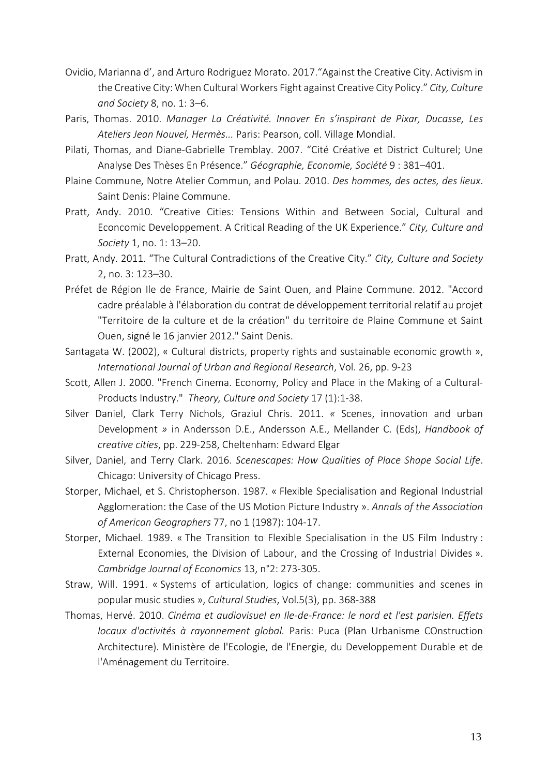- Ovidio, Marianna d', and Arturo Rodriguez Morato. 2017."Against the Creative City. Activism in the Creative City: When Cultural Workers Fight against Creative City Policy." *City, Culture and Society* 8, no. 1: 3–6.
- Paris, Thomas. 2010. *Manager La Créativité. Innover En s'inspirant de Pixar, Ducasse, Les Ateliers Jean Nouvel, Hermès...* Paris: Pearson, coll. Village Mondial.
- Pilati, Thomas, and Diane-Gabrielle Tremblay. 2007. "Cité Créative et District Culturel; Une Analyse Des Thèses En Présence." *Géographie, Economie, Société* 9 : 381–401.
- Plaine Commune, Notre Atelier Commun, and Polau. 2010. *Des hommes, des actes, des lieux*. Saint Denis: Plaine Commune.
- Pratt, Andy. 2010. "Creative Cities: Tensions Within and Between Social, Cultural and Econcomic Developpement. A Critical Reading of the UK Experience." *City, Culture and Society* 1, no. 1: 13–20.
- Pratt, Andy. 2011. "The Cultural Contradictions of the Creative City." *City, Culture and Society* 2, no. 3: 123–30.
- Préfet de Région Ile de France, Mairie de Saint Ouen, and Plaine Commune. 2012. "Accord cadre préalable à l'élaboration du contrat de développement territorial relatif au projet "Territoire de la culture et de la création" du territoire de Plaine Commune et Saint Ouen, signé le 16 janvier 2012." Saint Denis.
- Santagata W. (2002), « Cultural districts, property rights and sustainable economic growth », *International Journal of Urban and Regional Research*, Vol. 26, pp. 9-23
- Scott, Allen J. 2000. "French Cinema. Economy, Policy and Place in the Making of a Cultural-Products Industry." *Theory, Culture and Society* 17 (1):1-38.
- Silver Daniel, Clark Terry Nichols, Graziul Chris. 2011. *«* Scenes, innovation and urban Development *»* in Andersson D.E., Andersson A.E., Mellander C. (Eds), *Handbook of creative cities*, pp. 229-258, Cheltenham: Edward Elgar
- Silver, Daniel, and Terry Clark. 2016. *Scenescapes: How Qualities of Place Shape Social Life*. Chicago: University of Chicago Press.
- Storper, Michael, et S. Christopherson. 1987. « Flexible Specialisation and Regional Industrial Agglomeration: the Case of the US Motion Picture Industry ». *Annals of the Association of American Geographers* 77, no 1 (1987): 104-17.
- Storper, Michael. 1989. « The Transition to Flexible Specialisation in the US Film Industry : External Economies, the Division of Labour, and the Crossing of Industrial Divides ». *Cambridge Journal of Economics* 13, n°2: 273-305.
- Straw, Will. 1991. « Systems of articulation, logics of change: communities and scenes in popular music studies », *Cultural Studies*, Vol.5(3), pp. 368-388
- Thomas, Hervé. 2010. *Cinéma et audiovisuel en Ile-de-France: le nord et l'est parisien. Effets locaux d'activités à rayonnement global.* Paris: Puca (Plan Urbanisme COnstruction Architecture). Ministère de l'Ecologie, de l'Energie, du Developpement Durable et de l'Aménagement du Territoire.